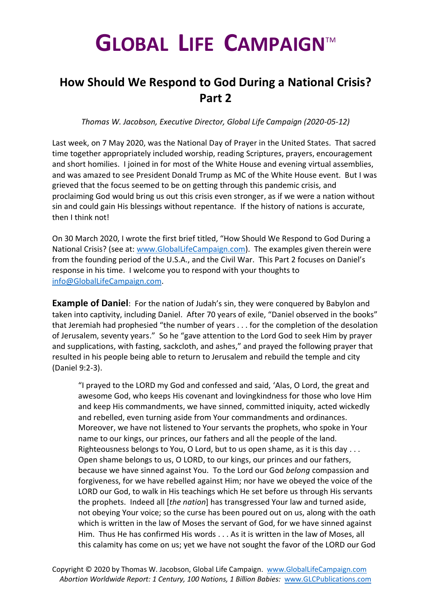## **GLOBAL LIFE CAMPAIGN**TM

## **How Should We Respond to God During a National Crisis? Part 2**

*Thomas W. Jacobson, Executive Director, Global Life Campaign (2020-05-12)*

Last week, on 7 May 2020, was the National Day of Prayer in the United States. That sacred time together appropriately included worship, reading Scriptures, prayers, encouragement and short homilies. I joined in for most of the White House and evening virtual assemblies, and was amazed to see President Donald Trump as MC of the White House event. But I was grieved that the focus seemed to be on getting through this pandemic crisis, and proclaiming God would bring us out this crisis even stronger, as if we were a nation without sin and could gain His blessings without repentance. If the history of nations is accurate, then I think not!

On 30 March 2020, I wrote the first brief titled, "How Should We Respond to God During a National Crisis? (see at: [www.GlobalLifeCampaign.com\)](http://www.globallifecampaign.com/). The examples given therein were from the founding period of the U.S.A., and the Civil War. This Part 2 focuses on Daniel's response in his time. I welcome you to respond with your thoughts to [info@GlobalLifeCampaign.com.](mailto:info@GlobalLifeCampaign.com)

**Example of Daniel:** For the nation of Judah's sin, they were conquered by Babylon and taken into captivity, including Daniel. After 70 years of exile, "Daniel observed in the books" that Jeremiah had prophesied "the number of years . . . for the completion of the desolation of Jerusalem, seventy years." So he "gave attention to the Lord God to seek Him by prayer and supplications, with fasting, sackcloth, and ashes," and prayed the following prayer that resulted in his people being able to return to Jerusalem and rebuild the temple and city (Daniel 9:2-3).

"I prayed to the LORD my God and confessed and said, 'Alas, O Lord, the great and awesome God, who keeps His covenant and lovingkindness for those who love Him and keep His commandments, we have sinned, committed iniquity, acted wickedly and rebelled, even turning aside from Your commandments and ordinances. Moreover, we have not listened to Your servants the prophets, who spoke in Your name to our kings, our princes, our fathers and all the people of the land. Righteousness belongs to You, O Lord, but to us open shame, as it is this day . . . Open shame belongs to us, O LORD, to our kings, our princes and our fathers, because we have sinned against You. To the Lord our God *belong* compassion and forgiveness, for we have rebelled against Him; nor have we obeyed the voice of the LORD our God, to walk in His teachings which He set before us through His servants the prophets. Indeed all [*the nation*] has transgressed Your law and turned aside, not obeying Your voice; so the curse has been poured out on us, along with the oath which is written in the law of Moses the servant of God, for we have sinned against Him. Thus He has confirmed His words . . . As it is written in the law of Moses, all this calamity has come on us; yet we have not sought the favor of the LORD our God